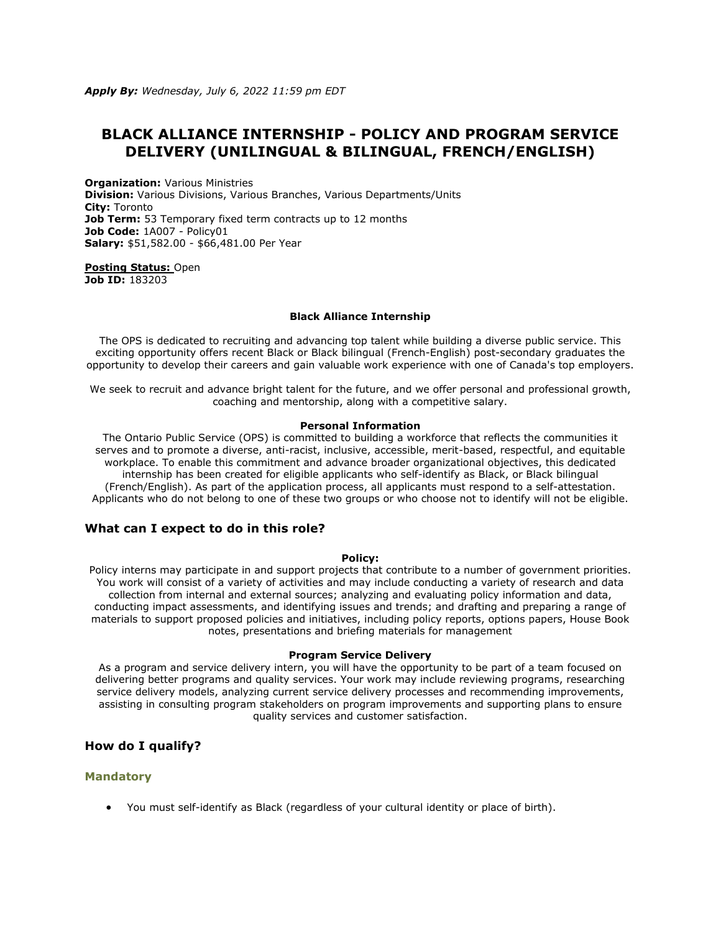# **BLACK ALLIANCE INTERNSHIP - POLICY AND PROGRAM SERVICE DELIVERY (UNILINGUAL & BILINGUAL, FRENCH/ENGLISH)**

**Organization:** Various Ministries **Division:** Various Divisions, Various Branches, Various Departments/Units **City:** Toronto **Job Term:** 53 Temporary fixed term contracts up to 12 months **Job Code:** 1A007 - Policy01 **Salary:** \$51,582.00 - \$66,481.00 Per Year

**[Posting Status:](https://www.ontario.ca/page/careers-job-ad-definitions)** Open **Job ID:** 183203

#### **Black Alliance Internship**

The OPS is dedicated to recruiting and advancing top talent while building a diverse public service. This exciting opportunity offers recent Black or Black bilingual (French-English) post-secondary graduates the opportunity to develop their careers and gain valuable work experience with one of Canada's top employers.

We seek to recruit and advance bright talent for the future, and we offer personal and professional growth, coaching and mentorship, along with a competitive salary.

#### **Personal Information**

The Ontario Public Service (OPS) is committed to building a workforce that reflects the communities it serves and to promote a diverse, anti-racist, inclusive, accessible, merit-based, respectful, and equitable workplace. To enable this commitment and advance broader organizational objectives, this dedicated internship has been created for eligible applicants who self-identify as Black, or Black bilingual (French/English). As part of the application process, all applicants must respond to a self-attestation. Applicants who do not belong to one of these two groups or who choose not to identify will not be eligible.

## **What can I expect to do in this role?**

#### **Policy:**

Policy interns may participate in and support projects that contribute to a number of government priorities. You work will consist of a variety of activities and may include conducting a variety of research and data collection from internal and external sources; analyzing and evaluating policy information and data, conducting impact assessments, and identifying issues and trends; and drafting and preparing a range of materials to support proposed policies and initiatives, including policy reports, options papers, House Book notes, presentations and briefing materials for management

#### **Program Service Delivery**

As a program and service delivery intern, you will have the opportunity to be part of a team focused on delivering better programs and quality services. Your work may include reviewing programs, researching service delivery models, analyzing current service delivery processes and recommending improvements, assisting in consulting program stakeholders on program improvements and supporting plans to ensure quality services and customer satisfaction.

# **How do I qualify?**

## **Mandatory**

• You must self-identify as Black (regardless of your cultural identity or place of birth).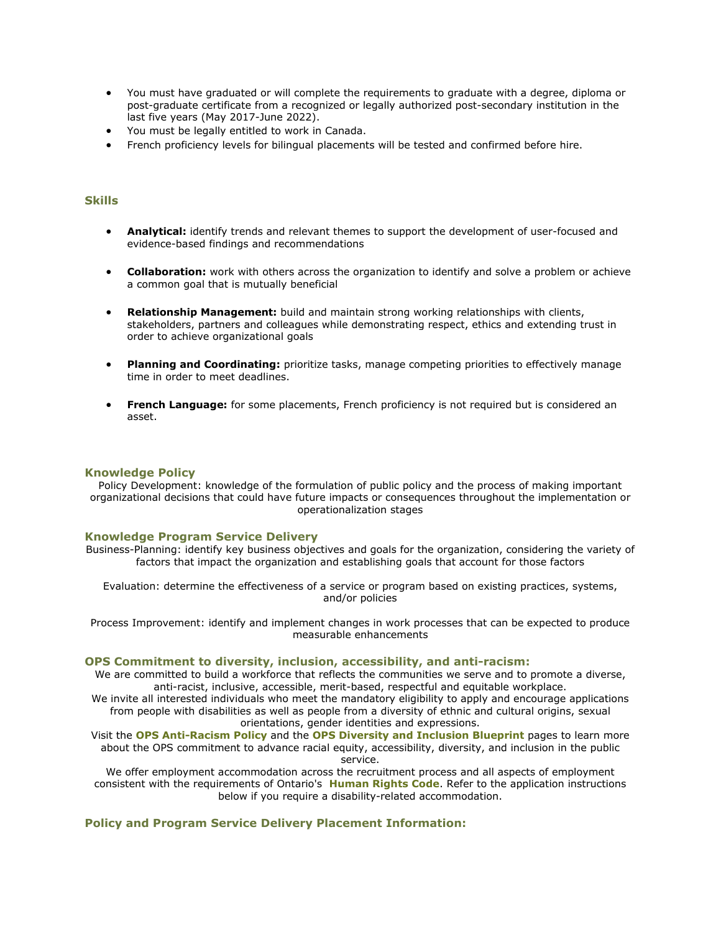- You must have graduated or will complete the requirements to graduate with a degree, diploma or post-graduate certificate from a recognized or legally authorized post-secondary institution in the last five years (May 2017-June 2022).
- You must be legally entitled to work in Canada.
- French proficiency levels for bilingual placements will be tested and confirmed before hire.

# **Skills**

- **Analytical:** identify trends and relevant themes to support the development of user-focused and evidence-based findings and recommendations
- **Collaboration:** work with others across the organization to identify and solve a problem or achieve a common goal that is mutually beneficial
- **Relationship Management:** build and maintain strong working relationships with clients, stakeholders, partners and colleagues while demonstrating respect, ethics and extending trust in order to achieve organizational goals
- **Planning and Coordinating:** prioritize tasks, manage competing priorities to effectively manage time in order to meet deadlines.
- **French Language:** for some placements, French proficiency is not required but is considered an asset.

## **Knowledge Policy**

Policy Development: knowledge of the formulation of public policy and the process of making important organizational decisions that could have future impacts or consequences throughout the implementation or operationalization stages

#### **Knowledge Program Service Delivery**

Business-Planning: identify key business objectives and goals for the organization, considering the variety of factors that impact the organization and establishing goals that account for those factors

Evaluation: determine the effectiveness of a service or program based on existing practices, systems, and/or policies

Process Improvement: identify and implement changes in work processes that can be expected to produce measurable enhancements

#### **OPS Commitment to diversity, inclusion, accessibility, and anti-racism:**

We are committed to build a workforce that reflects the communities we serve and to promote a diverse, anti-racist, inclusive, accessible, merit-based, respectful and equitable workplace.

We invite all interested individuals who meet the mandatory eligibility to apply and encourage applications from people with disabilities as well as people from a diversity of ethnic and cultural origins, sexual orientations, gender identities and expressions.

Visit the **[OPS Anti-Racism Policy](https://www.ontario.ca/page/ontario-public-service-anti-racism-policy)** and the **[OPS Diversity and Inclusion Blueprint](https://www.ontario.ca/page/ops-inclusion-diversity-blueprint)** pages to learn more about the OPS commitment to advance racial equity, accessibility, diversity, and inclusion in the public service.

We offer employment accommodation across the recruitment process and all aspects of employment consistent with the requirements of Ontario's **[Human Rights Code](https://www.ohrc.on.ca/en/ontario-human-rights-code)**. Refer to the application instructions below if you require a disability-related accommodation.

## **Policy and Program Service Delivery Placement Information:**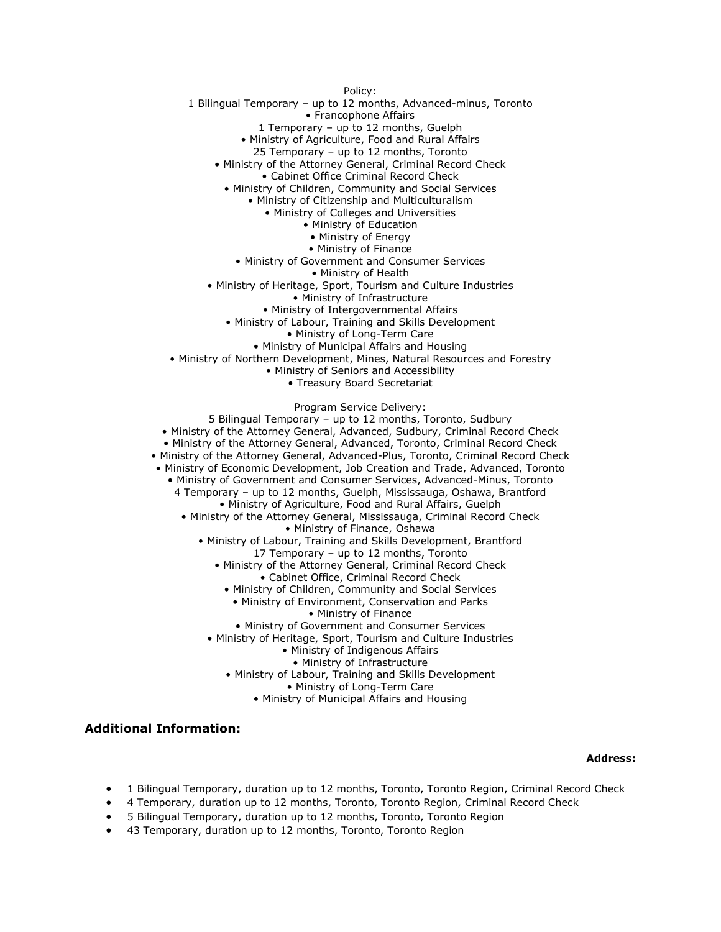Policy: 1 Bilingual Temporary – up to 12 months, Advanced-minus, Toronto • Francophone Affairs 1 Temporary – up to 12 months, Guelph • Ministry of Agriculture, Food and Rural Affairs 25 Temporary – up to 12 months, Toronto • Ministry of the Attorney General, Criminal Record Check • Cabinet Office Criminal Record Check • Ministry of Children, Community and Social Services • Ministry of Citizenship and Multiculturalism • Ministry of Colleges and Universities • Ministry of Education • Ministry of Energy • Ministry of Finance • Ministry of Government and Consumer Services • Ministry of Health • Ministry of Heritage, Sport, Tourism and Culture Industries • Ministry of Infrastructure • Ministry of Intergovernmental Affairs • Ministry of Labour, Training and Skills Development • Ministry of Long-Term Care • Ministry of Municipal Affairs and Housing • Ministry of Northern Development, Mines, Natural Resources and Forestry • Ministry of Seniors and Accessibility • Treasury Board Secretariat

Program Service Delivery: 5 Bilingual Temporary – up to 12 months, Toronto, Sudbury • Ministry of the Attorney General, Advanced, Sudbury, Criminal Record Check • Ministry of the Attorney General, Advanced, Toronto, Criminal Record Check • Ministry of the Attorney General, Advanced-Plus, Toronto, Criminal Record Check • Ministry of Economic Development, Job Creation and Trade, Advanced, Toronto • Ministry of Government and Consumer Services, Advanced-Minus, Toronto 4 Temporary – up to 12 months, Guelph, Mississauga, Oshawa, Brantford • Ministry of Agriculture, Food and Rural Affairs, Guelph • Ministry of the Attorney General, Mississauga, Criminal Record Check • Ministry of Finance, Oshawa • Ministry of Labour, Training and Skills Development, Brantford 17 Temporary – up to 12 months, Toronto • Ministry of the Attorney General, Criminal Record Check • Cabinet Office, Criminal Record Check • Ministry of Children, Community and Social Services • Ministry of Environment, Conservation and Parks • Ministry of Finance • Ministry of Government and Consumer Services • Ministry of Heritage, Sport, Tourism and Culture Industries • Ministry of Indigenous Affairs • Ministry of Infrastructure

- Ministry of Labour, Training and Skills Development
	- Ministry of Long-Term Care
	- Ministry of Municipal Affairs and Housing

## **Additional Information:**

#### **Address:**

- 1 Bilingual Temporary, duration up to 12 months, Toronto, Toronto Region, Criminal Record Check
- 4 Temporary, duration up to 12 months, Toronto, Toronto Region, Criminal Record Check
- 5 Bilingual Temporary, duration up to 12 months, Toronto, Toronto Region
- 43 Temporary, duration up to 12 months, Toronto, Toronto Region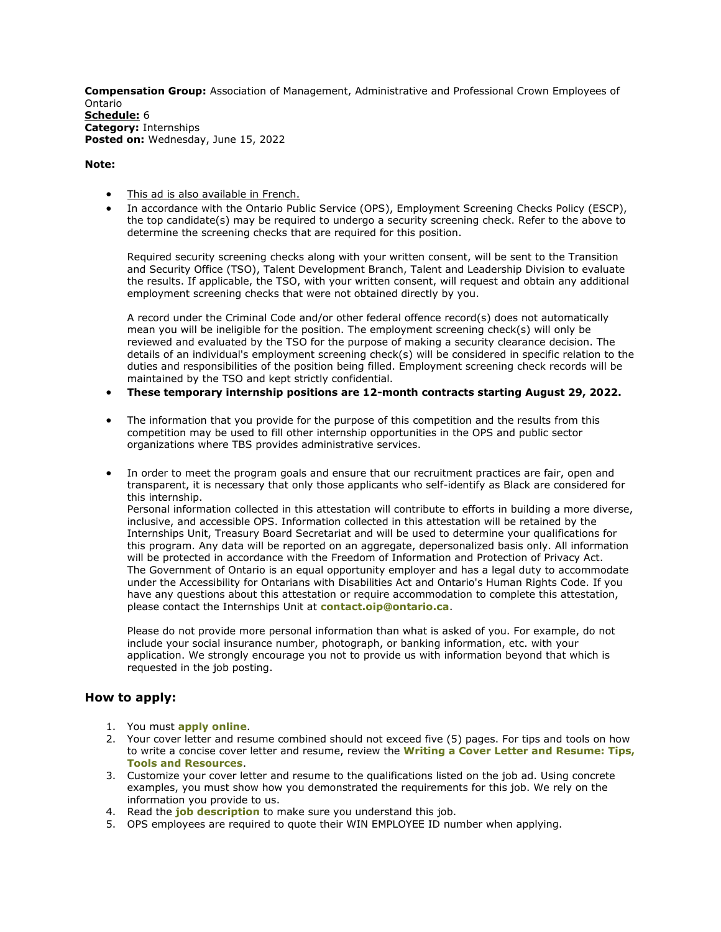**Compensation Group:** Association of Management, Administrative and Professional Crown Employees of Ontario **[Schedule:](https://www.ontario.ca/page/careers-job-ad-definitions)** 6 **Category:** Internships Posted on: Wednesday, June 15, 2022

#### **Note:**

- [This ad is also available in French.](https://www.gojobs.gov.on.ca/Preview.aspx?Language=French&JobID=183203)
- In accordance with the Ontario Public Service (OPS), Employment Screening Checks Policy (ESCP), the top candidate(s) may be required to undergo a security screening check. Refer to the above to determine the screening checks that are required for this position.

Required security screening checks along with your written consent, will be sent to the Transition and Security Office (TSO), Talent Development Branch, Talent and Leadership Division to evaluate the results. If applicable, the TSO, with your written consent, will request and obtain any additional employment screening checks that were not obtained directly by you.

A record under the Criminal Code and/or other federal offence record(s) does not automatically mean you will be ineligible for the position. The employment screening check(s) will only be reviewed and evaluated by the TSO for the purpose of making a security clearance decision. The details of an individual's employment screening check(s) will be considered in specific relation to the duties and responsibilities of the position being filled. Employment screening check records will be maintained by the TSO and kept strictly confidential.

- **These temporary internship positions are 12-month contracts starting August 29, 2022.**
- The information that you provide for the purpose of this competition and the results from this competition may be used to fill other internship opportunities in the OPS and public sector organizations where TBS provides administrative services.
- In order to meet the program goals and ensure that our recruitment practices are fair, open and transparent, it is necessary that only those applicants who self-identify as Black are considered for this internship. Personal information collected in this attestation will contribute to efforts in building a more diverse, inclusive, and accessible OPS. Information collected in this attestation will be retained by the Internships Unit, Treasury Board Secretariat and will be used to determine your qualifications for this program. Any data will be reported on an aggregate, depersonalized basis only. All information will be protected in accordance with the Freedom of Information and Protection of Privacy Act. The Government of Ontario is an equal opportunity employer and has a legal duty to accommodate under the Accessibility for Ontarians with Disabilities Act and Ontario's Human Rights Code. If you have any questions about this attestation or require accommodation to complete this attestation, please contact the Internships Unit at **[contact.oip@ontario.ca](mailto:contact.oip@ontario.ca)**.

Please do not provide more personal information than what is asked of you. For example, do not include your social insurance number, photograph, or banking information, etc. with your application. We strongly encourage you not to provide us with information beyond that which is requested in the job posting.

# **How to apply:**

- 1. You must **[apply online](https://www.gojobs.gov.on.ca/Apply.aspx?Language=English&JobID=183203)**.
- 2. Your cover letter and resume combined should not exceed five (5) pages. For tips and tools on how to write a concise cover letter and resume, review the **[Writing a Cover Letter and Resume: Tips,](https://www.gojobs.gov.on.ca/Docs/OPSCoverLetterandResumeWritingGuide.pdf)  [Tools and Resources](https://www.gojobs.gov.on.ca/Docs/OPSCoverLetterandResumeWritingGuide.pdf)**.
- 3. Customize your cover letter and resume to the qualifications listed on the job ad. Using concrete examples, you must show how you demonstrated the requirements for this job. We rely on the information you provide to us.
- 4. Read the **[job description](https://www.gojobs.gov.on.ca/PDR.aspx?Language=English&JobID=183203)** to make sure you understand this job.
- 5. OPS employees are required to quote their WIN EMPLOYEE ID number when applying.